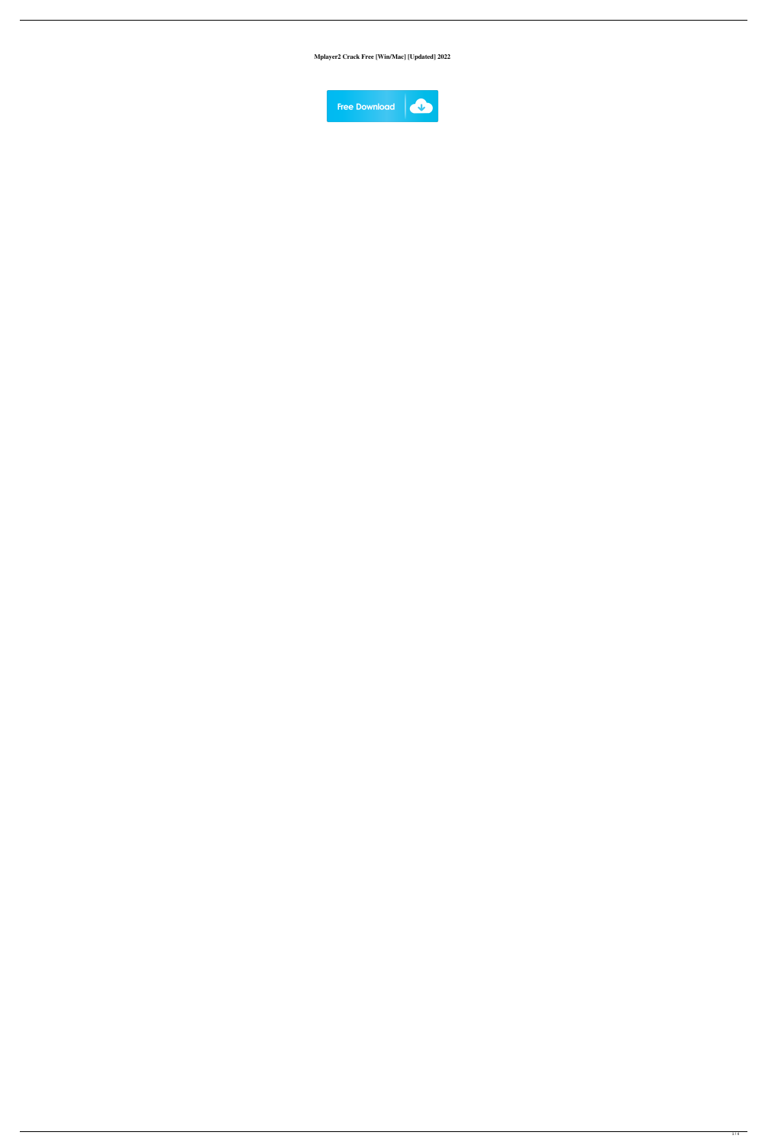**Mplayer2 Crack Free [Win/Mac] [Updated] 2022**

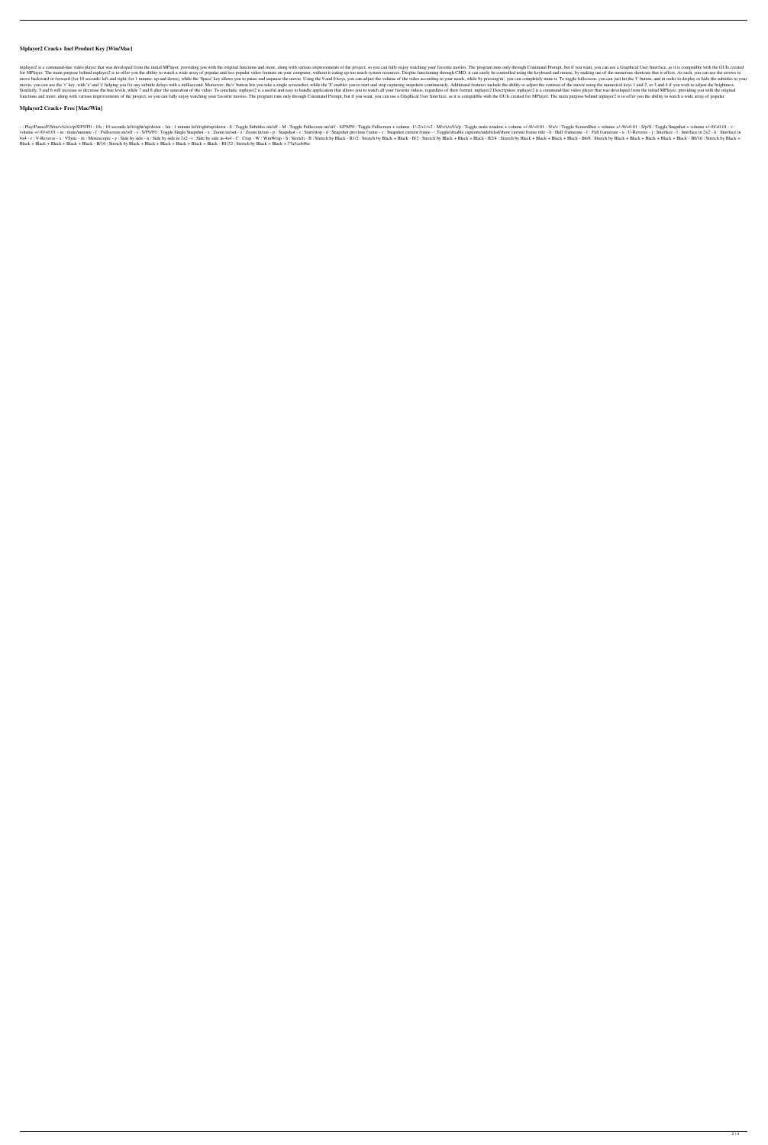## **Mplayer2 Crack+ Incl Product Key [Win/Mac]**

mplayer2 is a command-line video player that was developed from the initial MPlayer, providing you with the original functions and more, along with various improvements of the project, so you can fully enjoy watching your for MPlayer. The main purpose behind mplayer2 is to offer you the ability to watch a wide array of popular and less popular video formats on your computer, without it eating up too much system resources. Despite functionin move backward or forward (for 10 seconds: left and right; for 1 minute: up and down), while the 'Space' key allows you to pause and unpause the movie. Using the 9 and 0 keys, you can adjust the volume of the video accordin movie, you can use the 'v' key, with 'x' and 'z' helping you fix any subtitle delays with a millisecond. Moreover, the's' button lets you take a single screenshot, while the 'S' enables you to start and stop capturing snap Similarly, 5 and 6 will increase or decrease the hue levels, while 7 and 8 alter the saturation of the video. To conclude, mplayer2 is a useful and easy to handle application that allows you to watch all your favorite vide functions and more, along with various improvements of the project, so you can fully enjoy watching your favorite movies. The program runs only through Command Prompt, but if you want, you can use a Graphical User Interfac

-: Play/Pause/F/S/m/v/x/z/s/p/S/F9/F0 - 10s: 10 seconds left/right/up/down - 1m: 1 minute left/right/up/down - S: Toggle Subtitles on/off - M: Toggle Fullscreen + volume -1/-2/+1/+2 - M/v/x/z/f/s/p: Toggle main window + vo volume +/-/0/+0.01 - m : mute/unmute - f : Fullscreen on/off - s : S/F9/F0 : Toggle Single Snapshot - x : Zoom in/out - z : Zoom in/out - p : Snapshot or evious frame - c : Snapshot current frame - : Toggle/disable caption 4x4 - r : V-Reverse - x : VSync - m : Monoscopic - y : Side by side -n : Side by side in 2x2 - t : Side by side in 2x2 - t : Side by side in 4x4 - C : Crop - W : WinWrap - S : Stretch by Black + Black + Black + Black + Bla Black + Black + Black + Black + Black - B/16 : Stretch by Black + Black + Black + Black + Black + Black - B1/32 : Stretch by Black + Black + 77a5ca646e

#### **Mplayer2 Crack+ Free [Mac/Win]**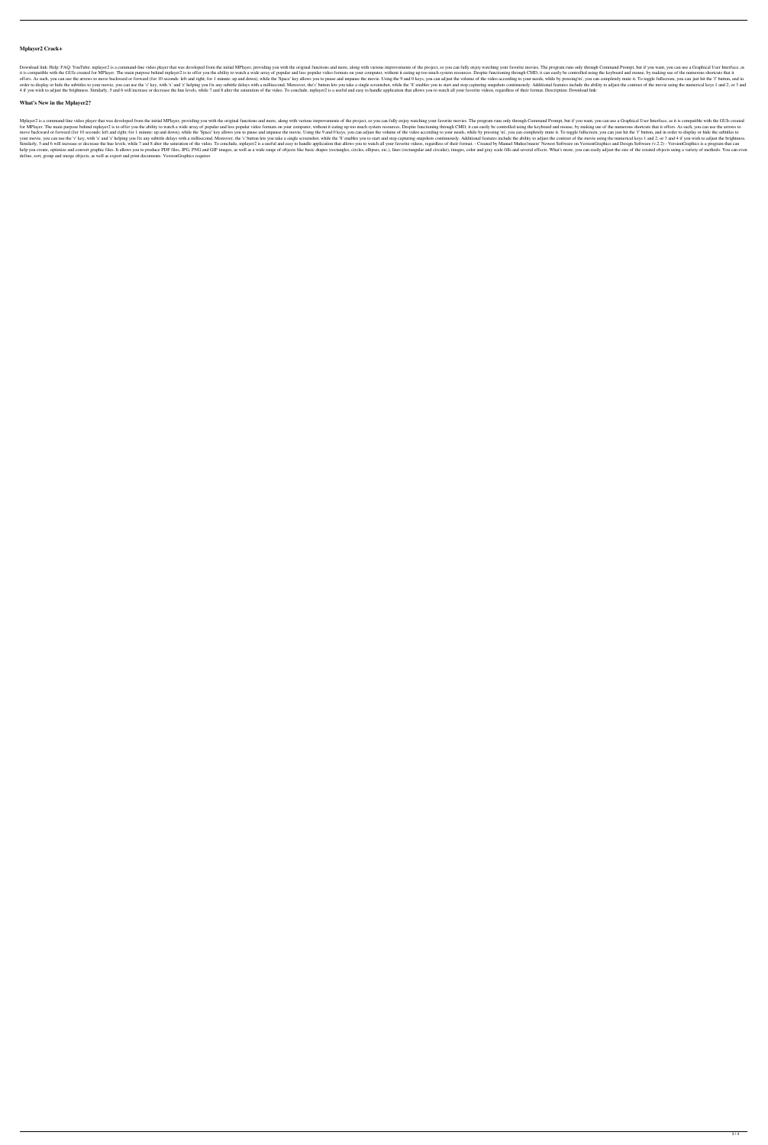# **Mplayer2 Crack+**

Download link: Help: FAQ: YouTube: mplayer2 is a command-line video player that was developed from the initial MPlayer, providing you with the original functions and more, along with various improvements of the project, so it is compatible with the GUIs created for MPlayer. The main purpose behind mplayer2 is to offer you the ability to watch a wide array of popular and less popular video formats on your computer, without it eating up too mu offers. As such, you can use the arrows to move backward or forward (for 10 seconds: left and right; for 1 minute: up and down), while the 'Space' key allows you to pause and unpause the movie. Using the 9 and 0 keys, you order to display or hide the subtitles to your movie, you can use the 'v' key, with 'x' and 'z' helping you fix any subtitle delays with a millisecond. Moreover, the's' button lets you take a single screenshot, while the ' 4 if you wish to adjust the brightness. Similarly, 5 and 6 will increase or decrease the hue levels, while 7 and 8 alter the saturation of the video. To conclude, mplayer2 is a useful and easy to handle application that al

## **What's New in the Mplayer2?**

Mplayer2 is a command-line video player that was developed from the initial MPlayer, providing you with the original functions and more, along with various improvements of the project, so you can fully enjoy watching your for MPlayer. The main purpose behind mplayer2 is to offer you the ability to watch a wide array of popular and less popular video formats on your computer, without it eating up too much system resources. Despite functionin move backward or forward (for 10 seconds: left and right; for 1 minute: up and down), while the 'Space' key allows you to pause and unpause the movie. Using the 9 and 0 keys, you can adjust the volume of the video accordin your movie, you can use the 'v' key, with 'x' and 'z' helping you fix any subtitle delays with a millisecond. Moreover, the 's' button lets you take a single screenshot, while the 'S' enables you to start and stop capturin Similarly, 5 and 6 will increase or decrease the hue levels, while 7 and 8 alter the saturation of the video. To conclude, mplayer2 is a useful and easy to handle application that allows you to watch all your favorite vide help you create, optimize and convert graphic files. It allows you to produce PDF files, JPG, PNG and GIF images, as well as a wide range of objects like basic shapes (rectangles, circles, ellipses, etc.), lines (rectangul define, sort, group and merge objects, as well as export and print documents. VersionGraphics requires